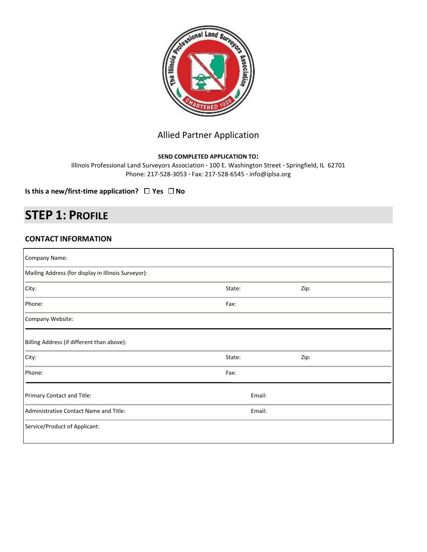

## Allied Partner Application

#### **SEND COMPLETED APPLICATION TO:**

Illinois Professional Land Surveyors Association **·** 100 E. Washington Street **·** Springfield, IL 62701 Phone: 217-528-3053 **·** Fax: 217-528-6545 **·** info@iplsa.org

**Is this a new/first-time application?**  $\Box$  Yes  $\Box$  No

# **STEP 1: PROFILE**

### **CONTACT INFORMATION**

| Company Name:                                       |        |        |  |
|-----------------------------------------------------|--------|--------|--|
| Mailing Address (for display in Illinois Surveyor): |        |        |  |
| City:                                               | State: | Zip:   |  |
| Phone:                                              | Fax:   |        |  |
| Company Website:                                    |        |        |  |
| Billing Address (if different than above):          |        |        |  |
| City:                                               | State: | Zip:   |  |
| Phone:                                              | Fax:   |        |  |
| Primary Contact and Title:                          |        | Email: |  |
| Administrative Contact Name and Title:              | Email: |        |  |
| Service/Product of Applicant:                       |        |        |  |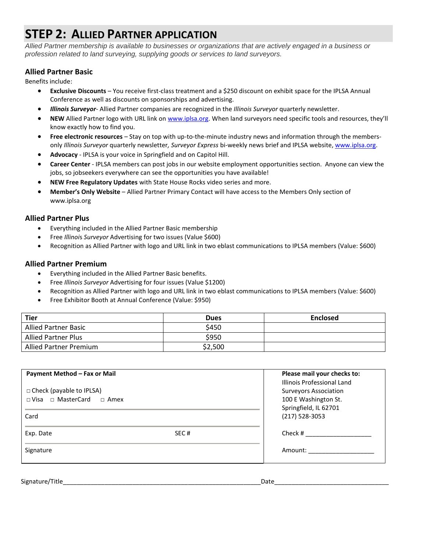# **STEP 2: ALLIED PARTNER APPLICATION**

*Allied Partner membership is available to businesses or organizations that are actively engaged in a business or profession related to land surveying, supplying goods or services to land surveyors.* 

### **Allied Partner Basic**

Benefits include:

- **Exclusive Discounts** You receive first-class treatment and a \$250 discount on exhibit space for the IPLSA Annual Conference as well as discounts on sponsorships and advertising.
- *Illinois Surveyor* Allied Partner companies are recognized in the *Illinois Surveyor* quarterly newsletter.
- **NEW** Allied Partner logo with URL link o[n www.iplsa.org](http://www.iplsa.org/). When land surveyors need specific tools and resources, they'll know exactly how to find you.
- **Free electronic resources**  Stay on top with up-to-the-minute industry news and information through the membersonly *Illinois Surveyor* quarterly newsletter*, Surveyor Express* bi-weekly news brief and IPLSA website[, www.iplsa.org.](http://www.iplsa.org/)
- **Advocacy** IPLSA is your voice in Springfield and on Capitol Hill.
- **Career Center** IPLSA members can post jobs in our website employment opportunities section. Anyone can view the jobs, so jobseekers everywhere can see the opportunities you have available!
- **NEW Free Regulatory Updates** with State House Rocks video series and more.
- **Member's Only Website** Allied Partner Primary Contact will have access to the Members Only section of www.iplsa.org

#### **Allied Partner Plus**

- Everything included in the Allied Partner Basic membership
- Free *Illinoi*s *Surveyor* Advertising for two issues (Value \$600)
- Recognition as Allied Partner with logo and URL link in two eblast communications to IPLSA members (Value: \$600)

#### **Allied Partner Premium**

- Everything included in the Allied Partner Basic benefits.
- Free *Illinois Surveyor* Advertising for four issues (Value \$1200)
- Recognition as Allied Partner with logo and URL link in two eblast communications to IPLSA members (Value: \$600)
- Free Exhibitor Booth at Annual Conference (Value: \$950)

| <b>Tier</b>                 | <b>Dues</b> | <b>Enclosed</b> |
|-----------------------------|-------------|-----------------|
| <b>Allied Partner Basic</b> | \$450       |                 |
| <b>Allied Partner Plus</b>  | \$950       |                 |
| Allied Partner Premium      | \$2,500     |                 |

| Payment Method - Fax or Mail<br>□ Check (payable to IPLSA)<br>$\Box$ Visa $\Box$ MasterCard $\Box$ Amex<br>Card |      | Please mail your checks to:<br>Illinois Professional Land<br><b>Surveyors Association</b><br>100 E Washington St.<br>Springfield, IL 62701<br>$(217) 528 - 3053$ |  |
|-----------------------------------------------------------------------------------------------------------------|------|------------------------------------------------------------------------------------------------------------------------------------------------------------------|--|
| Exp. Date<br>Signature                                                                                          | SEC# | Check #<br>Amount:                                                                                                                                               |  |

Signature/Title\_\_\_\_\_\_\_\_\_\_\_\_\_\_\_\_\_\_\_\_\_\_\_\_\_\_\_\_\_\_\_\_\_\_\_\_\_\_\_\_\_\_\_\_\_\_\_\_\_\_\_\_\_\_\_\_\_Date\_\_\_\_\_\_\_\_\_\_\_\_\_\_\_\_\_\_\_\_\_\_\_\_\_\_\_\_\_\_\_\_\_